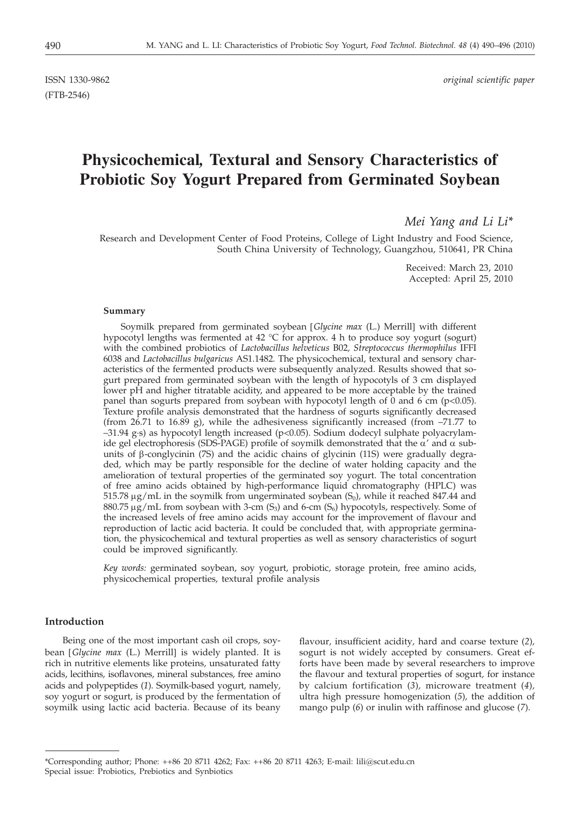# **Physicochemical***,* **Textural and Sensory Characteristics of Probiotic Soy Yogurt Prepared from Germinated Soybean**

*Mei Yang and Li Li\**

Research and Development Center of Food Proteins, College of Light Industry and Food Science, South China University of Technology, Guangzhou, 510641, PR China

> Received: March 23, 2010 Accepted: April 25, 2010

#### **Summary**

Soymilk prepared from germinated soybean [*Glycine max* (L.) Merrill] with different hypocotyl lengths was fermented at 42 °C for approx. 4 h to produce soy yogurt (sogurt) with the combined probiotics of *Lactobacillus helveticus* B02*, Streptococcus thermophilus* IFFI 6038 and *Lactobacillus bulgaricus* AS1.1482*.* The physicochemical*,* textural and sensory characteristics of the fermented products were subsequently analyzed. Results showed that sogurt prepared from germinated soybean with the length of hypocotyls of 3 cm displayed lower pH and higher titratable acidity, and appeared to be more acceptable by the trained panel than sogurts prepared from soybean with hypocotyl length of 0 and 6 cm ( $p$  <0.05). Texture profile analysis demonstrated that the hardness of sogurts significantly decreased (from 26.71 to 16.89 g), while the adhesiveness significantly increased (from  $-71.77$  to –31.94 g·s) as hypocotyl length increased (p<0.05). Sodium dodecyl sulphate polyacrylamide gel electrophoresis (SDS-PAGE) profile of soymilk demonstrated that the  $\alpha'$  and  $\alpha$  subunits of  $\beta$ -conglycinin (7S) and the acidic chains of glycinin (11S) were gradually degraded*,* which may be partly responsible for the decline of water holding capacity and the amelioration of textural properties of the germinated soy yogurt. The total concentration of free amino acids obtained by high-performance liquid chromatography (HPLC) was 515.78  $\mu$ g/mL in the soymilk from ungerminated soybean  $(S_0)$ , while it reached 847.44 and 880.75  $\mu$ g/mL from soybean with 3-cm (S<sub>3</sub>) and 6-cm (S<sub>6</sub>) hypocotyls, respectively. Some of the increased levels of free amino acids may account for the improvement of flavour and reproduction of lactic acid bacteria. It could be concluded that*,* with appropriate germination*,* the physicochemical and textural properties as well as sensory characteristics of sogurt could be improved significantly.

*Key words:* germinated soybean*,* soy yogurt*,* probiotic*,* storage protein*,* free amino acids*,* physicochemical properties*,* textural profile analysis

## **Introduction**

Being one of the most important cash oil crops*,* soybean [*Glycine max* (L.) Merrill] is widely planted. It is rich in nutritive elements like proteins*,* unsaturated fatty acids, lecithins*,* isoflavones*,* mineral substances*,* free amino acids and polypeptides (*1*). Soymilk-based yogurt*,* namely*,* soy yogurt or sogurt*,* is produced by the fermentation of soymilk using lactic acid bacteria. Because of its beany

flavour*,* insufficient acidity*,* hard and coarse texture (*2*)*,* sogurt is not widely accepted by consumers. Great efforts have been made by several researchers to improve the flavour and textural properties of sogurt*,* for instance by calcium fortification (*3*)*,* microware treatment (*4*)*,* ultra high pressure homogenization (*5*)*,* the addition of mango pulp (*6*) or inulin with raffinose and glucose (*7*).

<sup>\*</sup>Corresponding author; Phone: ++86 20 8711 4262; Fax: ++86 20 8711 4263; E-mail: lili@scut.edu.cn Special issue: Probiotics, Prebiotics and Synbiotics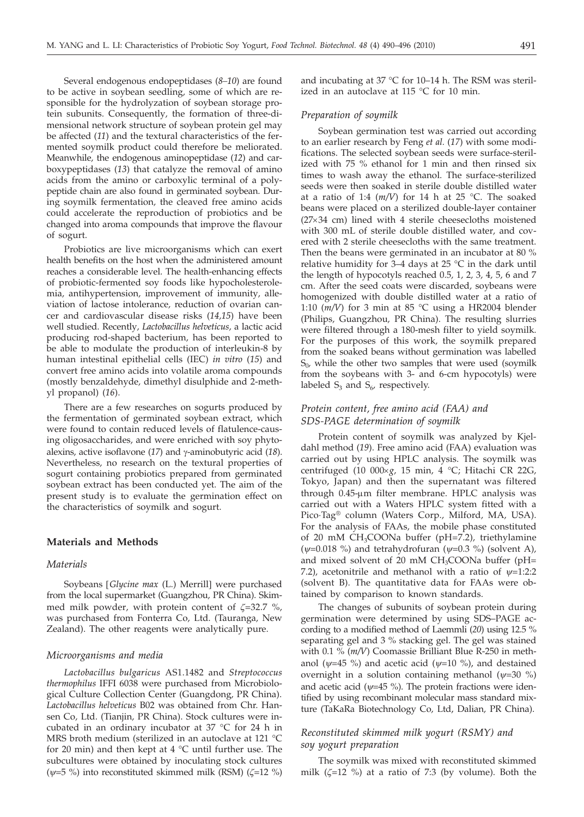Several endogenous endopeptidases (*8–10*) are found to be active in soybean seedling*,* some of which are responsible for the hydrolyzation of soybean storage protein subunits. Consequently*,* the formation of three-dimensional network structure of soybean protein gel may be affected (*11*) and the textural characteristics of the fermented soymilk product could therefore be meliorated. Meanwhile*,* the endogenous aminopeptidase (*12*) and carboxypeptidases (*13*) that catalyze the removal of amino acids from the amino or carboxylic terminal of a polypeptide chain are also found in germinated soybean. During soymilk fermentation*,* the cleaved free amino acids could accelerate the reproduction of probiotics and be changed into aroma compounds that improve the flavour of sogurt.

Probiotics are live microorganisms which can exert health benefits on the host when the administered amount reaches a considerable level. The health-enhancing effects of probiotic-fermented soy foods like hypocholesterolemia*,* antihypertension*,* improvement of immunity*,* alleviation of lactose intolerance*,* reduction of ovarian cancer and cardiovascular disease risks (*14,15*) have been well studied. Recently*, Lactobacillus helveticus,* a lactic acid producing rod-shaped bacterium*,* has been reported to be able to modulate the production of interleukin-8 by human intestinal epithelial cells (IEC) *in vitro* (*15*) and convert free amino acids into volatile aroma compounds (mostly benzaldehyde*,* dimethyl disulphide and 2-methyl propanol) (*16*).

There are a few researches on sogurts produced by the fermentation of germinated soybean extract*,* which were found to contain reduced levels of flatulence-causing oligosaccharides*,* and were enriched with soy phytoalexins, active isoflavone (17) and γ-aminobutyric acid (18). Nevertheless*,* no research on the textural properties of sogurt containing probiotics prepared from germinated soybean extract has been conducted yet. The aim of the present study is to evaluate the germination effect on the characteristics of soymilk and sogurt.

#### **Materials and Methods**

## *Materials*

Soybeans [*Glycine max* (L.) Merrill] were purchased from the local supermarket (Guangzhou*,* PR China). Skimmed milk powder*,* with protein content of *z*=32.7 %*,* was purchased from Fonterra Co*,* Ltd. (Tauranga*,* New Zealand). The other reagents were analytically pure.

#### *Microorganisms and media*

*Lactobacillus bulgaricus* AS1.1482 and *Streptococcus thermophilus* IFFI 6038 were purchased from Microbiological Culture Collection Center (Guangdong*,* PR China). *Lactobacillus helveticus* B02 was obtained from Chr. Hansen Co*,* Ltd. (Tianjin*,* PR China). Stock cultures were incubated in an ordinary incubator at 37 °C for 24 h in MRS broth medium (sterilized in an autoclave at 121 °C for 20 min) and then kept at  $4 °C$  until further use. The subcultures were obtained by inoculating stock cultures (*y*=5 %) into reconstituted skimmed milk (RSM) (*z*=12 %)

and incubating at 37 °C for 10–14 h. The RSM was sterilized in an autoclave at 115 °C for 10 min.

## *Preparation of soymilk*

Soybean germination test was carried out according to an earlier research by Feng *et al.* (*17*) with some modifications. The selected soybean seeds were surface-sterilized with 75 % ethanol for 1 min and then rinsed six times to wash away the ethanol. The surface-sterilized seeds were then soaked in sterile double distilled water at a ratio of 1:4  $(m/V)$  for 14 h at 25 °C. The soaked beans were placed on a sterilized double-layer container  $(27\times34$  cm) lined with 4 sterile cheesecloths moistened with 300 mL of sterile double distilled water*,* and covered with 2 sterile cheesecloths with the same treatment. Then the beans were germinated in an incubator at 80 % relative humidity for  $3-4$  days at  $25$  °C in the dark until the length of hypocotyls reached 0.5*,* 1*,* 2*,* 3*,* 4*,* 5*,* 6 and 7 cm. After the seed coats were discarded*,* soybeans were homogenized with double distilled water at a ratio of 1:10 (*m/V*) for 3 min at 85 °C using a HR2004 blender (Philips*,* Guangzhou*,* PR China). The resulting slurries were filtered through a 180-mesh filter to yield soymilk. For the purposes of this work*,* the soymilk prepared from the soaked beans without germination was labelled  $S<sub>0</sub>$ , while the other two samples that were used (soymilk from the soybeans with 3- and 6-cm hypocotyls) were labeled  $S_3$  and  $S_6$ , respectively.

## *Protein content, free amino acid (FAA) and SDS-PAGE determination of soymilk*

Protein content of soymilk was analyzed by Kjeldahl method (*19*). Free amino acid (FAA) evaluation was carried out by using HPLC analysis. The soymilk was centrifuged (10 000´*g,* 15 min*,* 4 °C; Hitachi CR 22G*,* Tokyo, Japan) and then the supernatant was filtered through 0.45-µm filter membrane. HPLC analysis was carried out with a Waters HPLC system fitted with a Pico·Tag® column (Waters Corp.*,* Milford*,* MA*,* USA). For the analysis of FAAs*,* the mobile phase constituted of 20 mM CH3COONa buffer (pH=7.2)*,* triethylamine (*y*=0.018 %) and tetrahydrofuran (*y*=0.3 %) (solvent A)*,* and mixed solvent of 20 mM  $CH<sub>3</sub>COONa$  buffer (pH= 7.2)*,* acetonitrile and methanol with a ratio of *y*=1:2:2 (solvent B). The quantitative data for FAAs were obtained by comparison to known standards.

The changes of subunits of soybean protein during germination were determined by using SDS–PAGE according to a modified method of Laemmli (*20*) using 12.5 % separating gel and 3 % stacking gel. The gel was stained with 0.1 % (*m/V*) Coomassie Brilliant Blue R-250 in methanol ( $\psi$ =45 %) and acetic acid ( $\psi$ =10 %), and destained overnight in a solution containing methanol  $(\psi=30\%)$ and acetic acid ( $\psi$ =45 %). The protein fractions were identified by using recombinant molecular mass standard mixture (TaKaRa Biotechnology Co*,* Ltd, Dalian*,* PR China).

## *Reconstituted skimmed milk yogurt (RSMY) and soy yogurt preparation*

The soymilk was mixed with reconstituted skimmed milk  $(\zeta=12 \%)$  at a ratio of 7:3 (by volume). Both the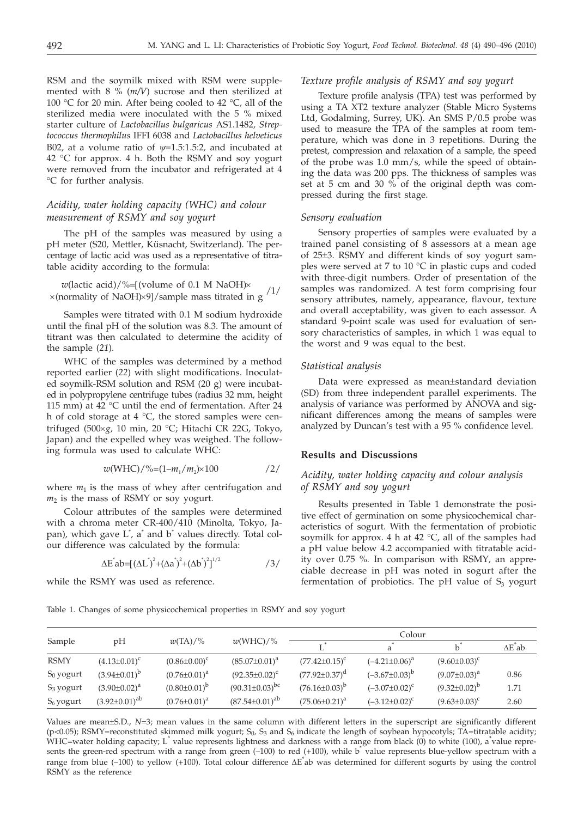RSM and the soymilk mixed with RSM were supplemented with 8 % (*m/V*) sucrose and then sterilized at 100 °C for 20 min. After being cooled to 42 °C*,* all of the sterilized media were inoculated with the 5 % mixed starter culture of *Lactobacillus bulgaricus* AS1.1482*, Streptococcus thermophilus* IFFI 6038 and *Lactobacillus helveticus* B02*,* at a volume ratio of *y*=1.5:1.5:2*,* and incubated at 42 °C for approx. 4 h. Both the RSMY and soy yogurt were removed from the incubator and refrigerated at 4 °C for further analysis.

# *Acidity, water holding capacity (WHC) and colour measurement of RSMY and soy yogurt*

The pH of the samples was measured by using a pH meter (S20*,* Mettler*,* Küsnacht, Switzerland). The percentage of lactic acid was used as a representative of titratable acidity according to the formula:

*w*(lactic acid)/%=[(volume of 0.1 M NaOH)
$$
\times
$$
(normality of NaOH) $\times$ 9]/sample mass titrated in g <sup>1</sup>

Samples were titrated with 0.1 M sodium hydroxide until the final pH of the solution was 8.3. The amount of titrant was then calculated to determine the acidity of the sample (*21*).

WHC of the samples was determined by a method reported earlier (*22*) with slight modifications. Inoculated soymilk-RSM solution and RSM (20 g) were incubated in polypropylene centrifuge tubes (radius 32 mm*,* height 115 mm) at 42 °C until the end of fermentation. After 24 h of cold storage at 4 °C*,* the stored samples were centrifuged (500´*g,* 10 min*,* 20 °C; Hitachi CR 22G*,* Tokyo*,* Japan) and the expelled whey was weighed. The following formula was used to calculate WHC:

$$
w(WHC)/\%=(1-m_1/m_2)\times 100
$$
 /2/

where  $m_1$  is the mass of whey after centrifugation and  $m<sub>2</sub>$  is the mass of RSMY or soy yogurt.

Colour attributes of the samples were determined with a chroma meter CR-400/410 (Minolta*,* Tokyo*,* Japan)*,* which gave L\* *,* a\* and b\* values directly. Total colour difference was calculated by the formula:

> $\Delta E^{\dagger}$ ab=[ $(\Delta L^{\dagger})^2 + (\Delta a^{\dagger})^2 + (\Delta b^{\dagger})^2$ ]  $/3/$

while the RSMY was used as reference.

#### Table 1. Changes of some physicochemical properties in RSMY and soy yogurt

## Sample pH *w*(TA)/% *w*(WHC)/% Colour  $L^*$  a<sup>\*</sup> b<sup>\*</sup>  $\Delta E^*$  $\Delta E^*$ ab  $RSMY$   $(4.13\pm0.01)^c$   $(0.86\pm0.00)^c$   $(85.07\pm0.01)^a$   $(77.42\pm0.15)^c$   $(-4.21\pm0.06)^a$   $(9.60\pm0.03)^c$  $S_0$  yogurt  $(3.94\pm0.01)^b$   $(0.76\pm0.01)^a$   $(92.35\pm0.02)^c$   $(77.92\pm0.37)^d$   $(-3.67\pm0.03)^b$   $(9.07\pm0.03)^a$  0.86  $S_3$  yogurt  $(3.90\pm0.02)^a$   $(0.80\pm0.01)^b$   $(90.31\pm0.03)^{bc}$   $(76.16\pm0.03)^b$   $(-3.07\pm0.02)^c$   $(9.32\pm0.02)^b$  1.71  $S_6$  yogurt  $(3.92\pm0.01)^{ab}$   $(0.76\pm0.01)^a$   $(87.54\pm0.01)^{ab}$   $(75.06\pm0.21)^a$   $(-3.12\pm0.02)^c$   $(9.63\pm0.03)^c$  2.60

Values are mean±S.D., *<sup>N</sup>*=3; mean values in the same column with different letters in the superscript are significantly different (p<0.05); RSMY=reconstituted skimmed milk yogurt; S0*,* S3 and S6 indicate the length of soybean hypocotyls; TA=titratable acidity; WHC=water holding capacity; L<sup>\*</sup> value represents lightness and darkness with a range from black (0) to white (100), a\*value represents the green-red spectrum with a range from green (-100) to red (+100), while b<sup>\*</sup> value represents blue-yellow spectrum with a range from blue (-100) to yellow (+100). Total colour difference ΔE\*ab was determined for different sogurts by using the control<br>RSMY as the reference RSMY as the reference

## *Texture profile analysis of RSMY and soy yogurt*

Texture profile analysis (TPA) test was performed by using a TA XT2 texture analyzer (Stable Micro Systems Ltd, Godalming, Surrey, UK). An SMS P/0.5 probe was used to measure the TPA of the samples at room temperature, which was done in 3 repetitions. During the pretest*,* compression and relaxation of a sample*,* the speed of the probe was 1.0 mm/s*,* while the speed of obtaining the data was 200 pps. The thickness of samples was set at 5 cm and 30  $\%$  of the original depth was compressed during the first stage.

#### *Sensory evaluation*

Sensory properties of samples were evaluated by a trained panel consisting of 8 assessors at a mean age of 25±3. RSMY and different kinds of soy yogurt samples were served at 7 to 10 °C in plastic cups and coded with three-digit numbers. Order of presentation of the samples was randomized. A test form comprising four sensory attributes*,* namely*,* appearance*,* flavour*,* texture and overall acceptability*,* was given to each assessor. A standard 9-point scale was used for evaluation of sensory characteristics of samples*,* in which 1 was equal to the worst and 9 was equal to the best.

#### *Statistical analysis*

Data were expressed as mean±standard deviation (SD) from three independent parallel experiments. The analysis of variance was performed by ANOVA and significant differences among the means of samples were analyzed by Duncan's test with a 95 % confidence level.

#### **Results and Discussions**

## *Acidity, water holding capacity and colour analysis of RSMY and soy yogurt*

Results presented in Table 1 demonstrate the positive effect of germination on some physicochemical characteristics of sogurt. With the fermentation of probiotic soymilk for approx. 4 h at 42 °C*,* all of the samples had a pH value below 4.2 accompanied with titratable acidity over 0.75 %*.* In comparison with RSMY*,* an appreciable decrease in pH was noted in sogurt after the fermentation of probiotics. The pH value of  $S_3$  yogurt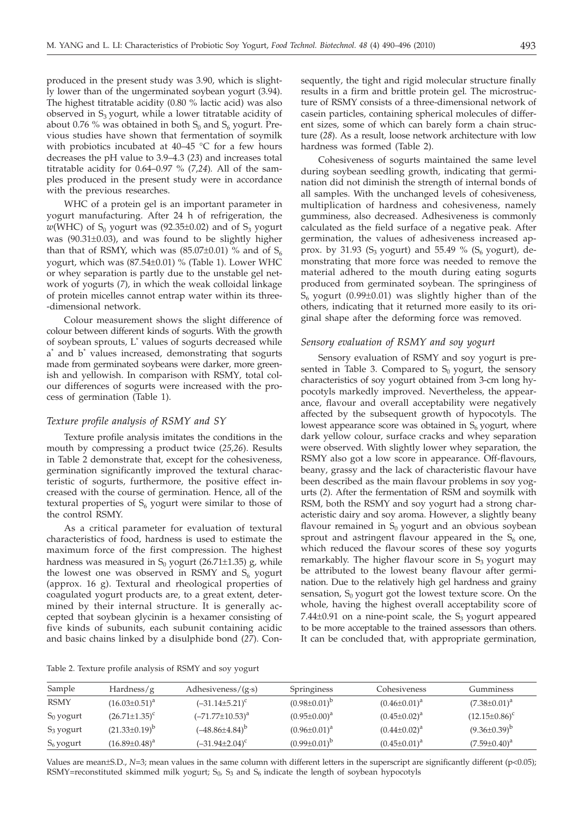produced in the present study was 3.90*,* which is slightly lower than of the ungerminated soybean yogurt (3.94). The highest titratable acidity (0.80 % lactic acid) was also observed in  $S_3$  yogurt, while a lower titratable acidity of about 0.76 % was obtained in both  $S_0$  and  $S_6$  yogurt. Previous studies have shown that fermentation of soymilk with probiotics incubated at 40–45 °C for a few hours decreases the pH value to 3.9–4.3 (*23*) and increases total titratable acidity for 0.64–0.97 % (*7,24*)*.* All of the samples produced in the present study were in accordance with the previous researches.

WHC of a protein gel is an important parameter in yogurt manufacturing. After 24 h of refrigeration*,* the  $w(WHC)$  of S<sub>0</sub> yogurt was (92.35 $\pm$ 0.02) and of S<sub>3</sub> yogurt was (90.31±0.03), and was found to be slightly higher than that of RSMY, which was  $(85.07\pm0.01)$  % and of S<sub>6</sub> yogurt, which was (87.54±0.01) % (Table 1). Lower WHC or whey separation is partly due to the unstable gel network of yogurts (*7*)*,* in which the weak colloidal linkage of protein micelles cannot entrap water within its three- -dimensional network.

Colour measurement shows the slight difference of colour between different kinds of sogurts. With the growth of soybean sprouts*,* L\* values of sogurts decreased while a\* and b\* values increased*,* demonstrating that sogurts made from germinated soybeans were darker*,* more greenish and yellowish. In comparison with RSMY*,* total colour differences of sogurts were increased with the process of germination (Table 1).

## *Texture profile analysis of RSMY and SY*

Texture profile analysis imitates the conditions in the mouth by compressing a product twice (*25,26*). Results in Table 2 demonstrate that*,* except for the cohesiveness*,* germination significantly improved the textural characteristic of sogurts*,* furthermore*,* the positive effect increased with the course of germination*.* Hence*,* all of the textural properties of  $S_6$  yogurt were similar to those of the control RSMY.

As a critical parameter for evaluation of textural characteristics of food*,* hardness is used to estimate the maximum force of the first compression. The highest hardness was measured in S<sub>0</sub> yogurt (26.71±1.35) g, while the lowest one was observed in RSMY and  $S_6$  yogurt (approx. 16 g). Textural and rheological properties of coagulated yogurt products are*,* to a great extent*,* determined by their internal structure. It is generally accepted that soybean glycinin is a hexamer consisting of five kinds of subunits*,* each subunit containing acidic and basic chains linked by a disulphide bond (*27*)*.* Consequently*,* the tight and rigid molecular structure finally results in a firm and brittle protein gel*.* The microstructure of RSMY consists of a three-dimensional network of casein particles*,* containing spherical molecules of different sizes*,* some of which can barely form a chain structure (*28*). As a result*,* loose network architecture with low hardness was formed (Table 2).

Cohesiveness of sogurts maintained the same level during soybean seedling growth*,* indicating that germination did not diminish the strength of internal bonds of all samples. With the unchanged levels of cohesiveness*,* multiplication of hardness and cohesiveness*,* namely gumminess*,* also decreased. Adhesiveness is commonly calculated as the field surface of a negative peak. After germination*,* the values of adhesiveness increased approx. by 31.93  $(S_3 \text{ yogurt})$  and 55.49 %  $(S_6 \text{ yogurt})$ , demonstrating that more force was needed to remove the material adhered to the mouth during eating sogurts produced from germinated soybean. The springiness of  $S_6$  yogurt (0.99 $\pm$ 0.01) was slightly higher than of the others*,* indicating that it returned more easily to its original shape after the deforming force was removed.

#### *Sensory evaluation of RSMY and soy yogurt*

Sensory evaluation of RSMY and soy yogurt is presented in Table 3. Compared to  $S_0$  yogurt, the sensory characteristics of soy yogurt obtained from 3-cm long hypocotyls markedly improved. Nevertheless*,* the appearance*,* flavour and overall acceptability were negatively affected by the subsequent growth of hypocotyls. The lowest appearance score was obtained in  $S_6$  yogurt, where dark yellow colour*,* surface cracks and whey separation were observed. With slightly lower whey separation*,* the RSMY also got a low score in appearance. Off-flavours*,* beany*,* grassy and the lack of characteristic flavour have been described as the main flavour problems in soy yogurts (*2*). After the fermentation of RSM and soymilk with RSM*,* both the RSMY and soy yogurt had a strong characteristic dairy and soy aroma. However*,* a slightly beany flavour remained in  $S_0$  yogurt and an obvious soybean sprout and astringent flavour appeared in the  $S_6$  one, which reduced the flavour scores of these soy yogurts remarkably. The higher flavour score in  $S_3$  yogurt may be attributed to the lowest beany flavour after germination. Due to the relatively high gel hardness and grainy sensation,  $S_0$  yogurt got the lowest texture score. On the whole*,* having the highest overall acceptability score of  $7.44\pm0.91$  on a nine-point scale, the  $S_3$  yogurt appeared to be more acceptable to the trained assessors than others*.* It can be concluded that*,* with appropriate germination*,*

Table 2. Texture profile analysis of RSMY and soy yogurt

| Sample       | Hardness/ $g$        | Adhesiveness/ $(g \cdot s)$ | Springiness         | Cohesiveness        | Gumminess            |
|--------------|----------------------|-----------------------------|---------------------|---------------------|----------------------|
| RSMY         | $(16.03 \pm 0.51)^a$ | $(-31.14 \pm 5.21)^c$       | $(0.98\pm0.01)^b$   | $(0.46 \pm 0.01)^a$ | $(7.38 \pm 0.01)^a$  |
| $S_0$ yogurt | $(26.71 \pm 1.35)^c$ | $(-71.77 \pm 10.53)^{a}$    | $(0.95 \pm 0.00)^a$ | $(0.45 \pm 0.02)^a$ | $(12.15 \pm 0.86)^c$ |
| $S_3$ yogurt | $(21.33\pm0.19)^b$   | $(-48.86 \pm 4.84)^b$       | $(0.96 \pm 0.01)^a$ | $(0.44 \pm 0.02)^a$ | $(9.36\pm0.39)^b$    |
| $S_6$ yogurt | $(16.89 \pm 0.48)^a$ | $(-31.94 \pm 2.04)^c$       | $(0.99 \pm 0.01)^b$ | $(0.45 \pm 0.01)^a$ | $(7.59 \pm 0.40)^a$  |
|              |                      |                             |                     |                     |                      |

Values are mean±S.D., N=3; mean values in the same column with different letters in the superscript are significantly different (p<0.05); RSMY=reconstituted skimmed milk yogurt; S<sub>0</sub>, S<sub>3</sub> and S<sub>6</sub> indicate the length of soybean hypocotyls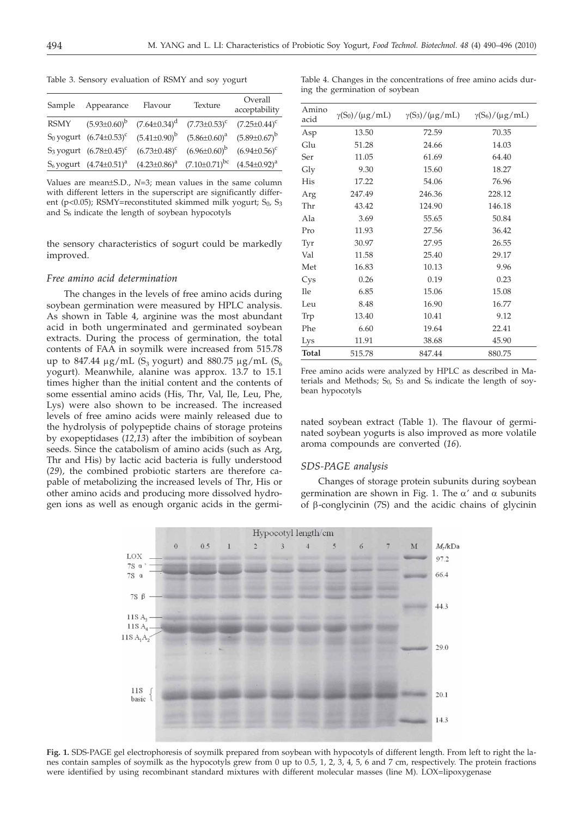Table 3. Sensory evaluation of RSMY and soy yogurt

| Sample      | Appearance                                | Flavour                                               | Texture                                | Overall<br>acceptability |
|-------------|-------------------------------------------|-------------------------------------------------------|----------------------------------------|--------------------------|
| <b>RSMY</b> |                                           | $(5.93\pm0.60)^b$ $(7.64\pm0.34)^d$ $(7.73\pm0.53)^c$ |                                        | $(7.25 \pm 0.44)^c$      |
|             | S <sub>0</sub> yogurt $(6.74 \pm 0.53)^c$ | $(5.41\pm0.90)^b$                                     | $(5.86 \pm 0.60)^a$                    | $(5.89 \pm 0.67)^b$      |
|             | S <sub>3</sub> yogurt $(6.78 \pm 0.45)^c$ | $(6.73 \pm 0.48)^c$                                   | $(6.96\pm0.60)^b$                      | $(6.94 \pm 0.56)^c$      |
|             | $S_6$ yogurt $(4.74\pm0.51)^a$            |                                                       | $(4.23\pm0.86)^a$ $(7.10\pm0.71)^{bc}$ | $(4.54\pm0.92)^a$        |
|             |                                           |                                                       |                                        |                          |

Values are mean±S.D., *<sup>N</sup>*=3; mean values in the same column with different letters in the superscript are significantly different (p<0.05); RSMY=reconstituted skimmed milk yogurt; S<sub>0</sub>, S<sub>3</sub> and  $S_6$  indicate the length of soybean hypocotyls

the sensory characteristics of sogurt could be markedly improved.

## *Free amino acid determination*

The changes in the levels of free amino acids during soybean germination were measured by HPLC analysis. As shown in Table 4*,* arginine was the most abundant acid in both ungerminated and germinated soybean extracts. During the process of germination*,* the total contents of FAA in soymilk were increased from 515.78 up to 847.44  $\mu$ g/mL (S<sub>3</sub> yogurt) and 880.75  $\mu$ g/mL (S<sub>6</sub> yogurt)*.* Meanwhile*,* alanine was approx. 13.7 to 15.1 times higher than the initial content and the contents of some essential amino acids (His*,* Thr*,* Val*,* Ile*,* Leu*,* Phe*,* Lys) were also shown to be increased. The increased levels of free amino acids were mainly released due to the hydrolysis of polypeptide chains of storage proteins by exopeptidases (*12,13*) after the imbibition of soybean seeds. Since the catabolism of amino acids (such as Arg*,* Thr and His) by lactic acid bacteria is fully understood (*29*)*,* the combined probiotic starters are therefore capable of metabolizing the increased levels of Thr*,* His or other amino acids and producing more dissolved hydrogen ions as well as enough organic acids in the germi-

Table 4. Changes in the concentrations of free amino acids during the germination of soybean

| Amino<br>acid | $\gamma(S_0)/(\mu g/mL)$ | $\gamma(S_3)/(\mu g/mL)$ | $\gamma(S_6)/(\mu g/mL)$ |
|---------------|--------------------------|--------------------------|--------------------------|
| Asp           | 13.50                    | 72.59                    | 70.35                    |
| Glu           | 51.28                    | 24.66                    | 14.03                    |
| Ser           | 11.05                    | 61.69                    | 64.40                    |
| Gly           | 9.30                     | 15.60                    | 18.27                    |
| His           | 17.22                    | 54.06                    | 76.96                    |
| Arg           | 247.49                   | 246.36                   | 228.12                   |
| Thr           | 43.42                    | 124.90                   | 146.18                   |
| Ala           | 3.69                     | 55.65                    | 50.84                    |
| Pro           | 11.93                    | 27.56                    | 36.42                    |
| Tyr           | 30.97                    | 27.95                    | 26.55                    |
| Val           | 11.58                    | 25.40                    | 29.17                    |
| Met           | 16.83                    | 10.13                    | 9.96                     |
| Cys           | 0.26                     | 0.19                     | 0.23                     |
| <b>Ile</b>    | 6.85                     | 15.06                    | 15.08                    |
| Leu           | 8.48                     | 16.90                    | 16.77                    |
| Trp           | 13.40                    | 10.41                    | 9.12                     |
| Phe           | 6.60                     | 19.64                    | 22.41                    |
| Lys           | 11.91                    | 38.68                    | 45.90                    |
| Total         | 515.78                   | 847.44                   | 880.75                   |

Free amino acids were analyzed by HPLC as described in Materials and Methods;  $S_0$ ,  $S_3$  and  $S_6$  indicate the length of soybean hypocotyls

nated soybean extract (Table 1). The flavour of germinated soybean yogurts is also improved as more volatile aroma compounds are converted (*16*).

#### *SDS-PAGE analysis*

Changes of storage protein subunits during soybean germination are shown in Fig. 1. The  $\alpha'$  and  $\alpha$  subunits of  $\beta$ -conglycinin (7S) and the acidic chains of glycinin



**Fig. 1.** SDS-PAGE gel electrophoresis of soymilk prepared from soybean with hypocotyls of different length. From left to right the lanes contain samples of soymilk as the hypocotyls grew from 0 up to 0.5*,* 1*,* 2*,* 3*,* 4*,* 5*,* 6 and 7 cm*,* respectively. The protein fractions were identified by using recombinant standard mixtures with different molecular masses (line M). LOX=lipoxygenase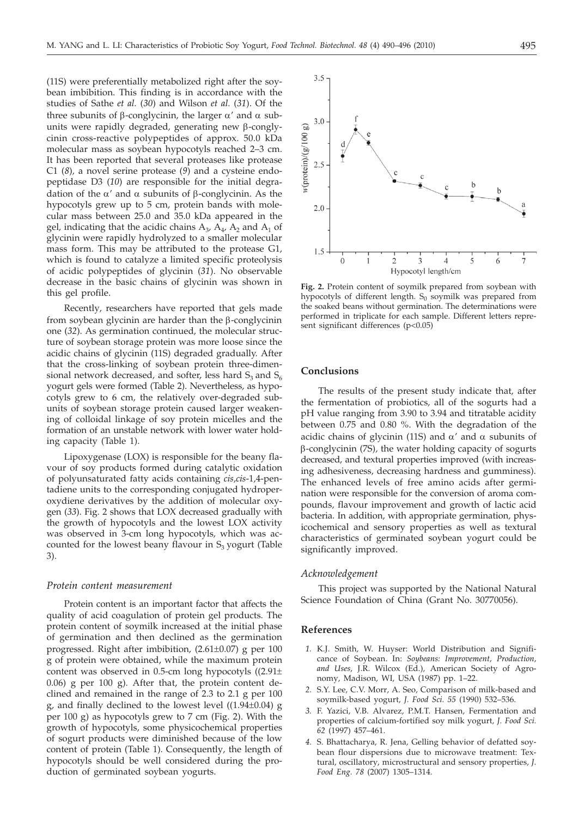(11S) were preferentially metabolized right after the soybean imbibition. This finding is in accordance with the studies of Sathe *et al.* (*30*) and Wilson *et al.* (*31*). Of the three subunits of  $\beta$ -conglycinin, the larger  $\alpha'$  and  $\alpha$  subunits were rapidly degraded*,* generating new b-conglycinin cross-reactive polypeptides of approx. 50.0 kDa molecular mass as soybean hypocotyls reached 2–3 cm. It has been reported that several proteases like protease C1 (*8*)*,* a novel serine protease (*9*) and a cysteine endopeptidase D3 (*10*) are responsible for the initial degradation of the  $\alpha'$  and  $\alpha$  subunits of  $\beta$ -conglycinin. As the hypocotyls grew up to 5 cm*,* protein bands with molecular mass between 25.0 and 35.0 kDa appeared in the gel, indicating that the acidic chains  $A_3$ ,  $A_4$ ,  $A_2$  and  $A_1$  of glycinin were rapidly hydrolyzed to a smaller molecular mass form. This may be attributed to the protease G1*,* which is found to catalyze a limited specific proteolysis of acidic polypeptides of glycinin (*31*). No observable decrease in the basic chains of glycinin was shown in this gel profile.

Recently*,* researchers have reported that gels made from soybean glycinin are harder than the  $\beta$ -conglycinin one (*32*). As germination continued*,* the molecular structure of soybean storage protein was more loose since the acidic chains of glycinin (11S) degraded gradually. After that the cross-linking of soybean protein three-dimensional network decreased, and softer, less hard  $S_3$  and  $S_6$ yogurt gels were formed (Table 2). Nevertheless*,* as hypocotyls grew to 6 cm*,* the relatively over-degraded subunits of soybean storage protein caused larger weakening of colloidal linkage of soy protein micelles and the formation of an unstable network with lower water holding capacity (Table 1).

Lipoxygenase (LOX) is responsible for the beany flavour of soy products formed during catalytic oxidation of polyunsaturated fatty acids containing *cis,cis*-1*,*4-pentadiene units to the corresponding conjugated hydroperoxydiene derivatives by the addition of molecular oxygen (*33*). Fig. 2 shows that LOX decreased gradually with the growth of hypocotyls and the lowest LOX activity was observed in 3-cm long hypocotyls*,* which was accounted for the lowest beany flavour in  $S_3$  yogurt (Table 3).

#### *Protein content measurement*

Protein content is an important factor that affects the quality of acid coagulation of protein gel products. The protein content of soymilk increased at the initial phase of germination and then declined as the germination progressed. Right after imbibition*,* (2.61±0.07) g per 100 g of protein were obtained, while the maximum protein content was observed in 0.5-cm long hypocotyls ((2.91± 0.06) g per 100 g). After that, the protein content declined and remained in the range of 2.3 to 2.1 g per 100 <sup>g</sup>*,* and finally declined to the lowest level ((1.94±0.04) g per 100 g) as hypocotyls grew to 7 cm (Fig. 2). With the growth of hypocotyls*,* some physicochemical properties of sogurt products were diminished because of the low content of protein (Table 1). Consequently*,* the length of hypocotyls should be well considered during the production of germinated soybean yogurts.



**Fig. 2.** Protein content of soymilk prepared from soybean with hypocotyls of different length.  $S_0$  soymilk was prepared from the soaked beans without germination. The determinations were performed in triplicate for each sample. Different letters represent significant differences (p<0.05)

## **Conclusions**

The results of the present study indicate that*,* after the fermentation of probiotics*,* all of the sogurts had a pH value ranging from 3.90 to 3.94 and titratable acidity between 0.75 and 0.80 %. With the degradation of the acidic chains of glycinin (11S) and  $\alpha'$  and  $\alpha$  subunits of b-conglycinin (7S)*,* the water holding capacity of sogurts decreased*,* and textural properties improved (with increasing adhesiveness*,* decreasing hardness and gumminess). The enhanced levels of free amino acids after germination were responsible for the conversion of aroma compounds*,* flavour improvement and growth of lactic acid bacteria. In addition*,* with appropriate germination*,* physicochemical and sensory properties as well as textural characteristics of germinated soybean yogurt could be significantly improved.

#### *Acknowledgement*

This project was supported by the National Natural Science Foundation of China (Grant No. 30770056).

### **References**

- *1.* K.J. Smith*,* W. Huyser: World Distribution and Significance of Soybean. In: *Soybeans: Improvement, Production, and Uses,* J.R. Wilcox (Ed.)*,* American Society of Agronomy*,* Madison*,* WI*,* USA (1987) pp. 1–22.
- *2.* S.Y. Lee*,* C.V. Morr*,* A. Seo*,* Comparison of milk-based and soymilk-based yogurt*, J. Food Sci. 55* (1990) 532–536.
- *3.* F. Yazici*,* V.B. Alvarez*,* P.M.T. Hansen*,* Fermentation and properties of calcium-fortified soy milk yogurt*, J. Food Sci. 62* (1997) 457–461.
- *4.* S. Bhattacharya*,* R. Jena*,* Gelling behavior of defatted soybean flour dispersions due to microwave treatment: Textural*,* oscillatory*,* microstructural and sensory properties*, J. Food Eng. 78* (2007) 1305–1314.